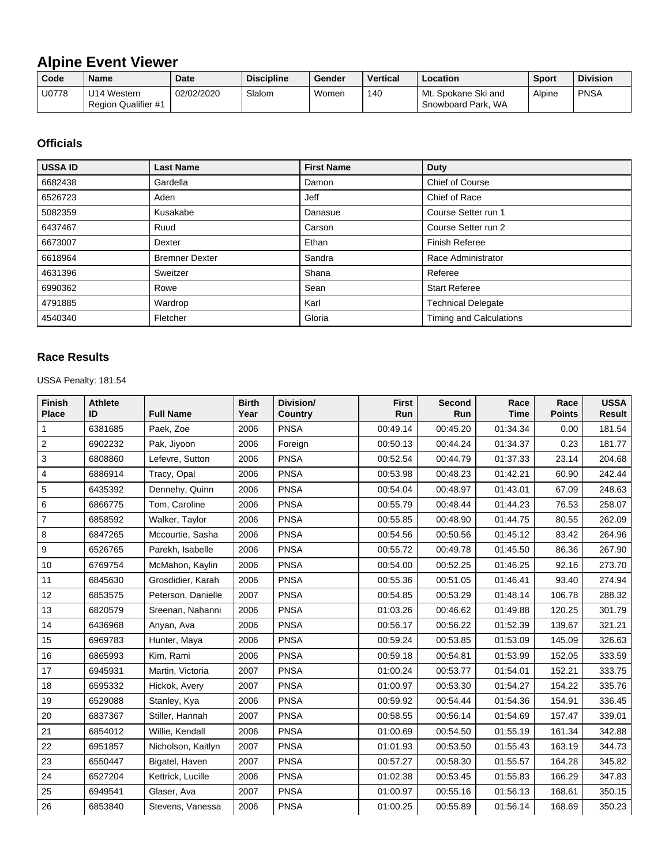## **Alpine Event Viewer**

| Code  | <b>Name</b>                                | <b>Date</b> | <b>Discipline</b> | Gender | <b>Vertical</b> | Location                                  | <b>Sport</b> | <b>Division</b> |
|-------|--------------------------------------------|-------------|-------------------|--------|-----------------|-------------------------------------------|--------------|-----------------|
| U0778 | 'J14 Western<br><b>Region Qualifier #1</b> | 02/02/2020  | Slalom            | Women  | 140             | Mt. Spokane Ski and<br>Snowboard Park, WA | Alpine       | <b>PNSA</b>     |

## **Officials**

| <b>USSA ID</b> | <b>Last Name</b>      | <b>First Name</b> | <b>Duty</b>                    |
|----------------|-----------------------|-------------------|--------------------------------|
| 6682438        | Gardella              | Damon             | <b>Chief of Course</b>         |
| 6526723        | Aden                  | Jeff              | Chief of Race                  |
| 5082359        | Kusakabe              | Danasue           | Course Setter run 1            |
| 6437467        | Ruud                  | Carson            | Course Setter run 2            |
| 6673007        | Dexter                | Ethan             | Finish Referee                 |
| 6618964        | <b>Bremner Dexter</b> | Sandra            | Race Administrator             |
| 4631396        | Sweitzer              | Shana             | Referee                        |
| 6990362        | Rowe                  | Sean              | <b>Start Referee</b>           |
| 4791885        | Wardrop               | Karl              | <b>Technical Delegate</b>      |
| 4540340        | Fletcher              | Gloria            | <b>Timing and Calculations</b> |

## **Race Results**

USSA Penalty: 181.54

| <b>Finish</b><br><b>Place</b> | <b>Athlete</b><br>ID | <b>Full Name</b>   | <b>Birth</b><br>Year | Division/<br><b>Country</b> | <b>First</b><br>Run | <b>Second</b><br>Run | Race<br><b>Time</b> | Race<br><b>Points</b> | <b>USSA</b><br><b>Result</b> |
|-------------------------------|----------------------|--------------------|----------------------|-----------------------------|---------------------|----------------------|---------------------|-----------------------|------------------------------|
| 1                             | 6381685              | Paek, Zoe          | 2006                 | <b>PNSA</b>                 | 00:49.14            | 00:45.20             | 01:34.34            | 0.00                  | 181.54                       |
| $\overline{c}$                | 6902232              | Pak, Jiyoon        | 2006                 | Foreign                     | 00:50.13            | 00:44.24             | 01:34.37            | 0.23                  | 181.77                       |
| 3                             | 6808860              | Lefevre, Sutton    | 2006                 | <b>PNSA</b>                 | 00:52.54            | 00:44.79             | 01:37.33            | 23.14                 | 204.68                       |
| 4                             | 6886914              | Tracy, Opal        | 2006                 | <b>PNSA</b>                 | 00:53.98            | 00:48.23             | 01:42.21            | 60.90                 | 242.44                       |
| 5                             | 6435392              | Dennehy, Quinn     | 2006                 | <b>PNSA</b>                 | 00:54.04            | 00:48.97             | 01:43.01            | 67.09                 | 248.63                       |
| 6                             | 6866775              | Tom, Caroline      | 2006                 | <b>PNSA</b>                 | 00:55.79            | 00:48.44             | 01:44.23            | 76.53                 | 258.07                       |
| 7                             | 6858592              | Walker, Taylor     | 2006                 | <b>PNSA</b>                 | 00:55.85            | 00:48.90             | 01:44.75            | 80.55                 | 262.09                       |
| 8                             | 6847265              | Mccourtie, Sasha   | 2006                 | <b>PNSA</b>                 | 00:54.56            | 00:50.56             | 01:45.12            | 83.42                 | 264.96                       |
| 9                             | 6526765              | Parekh, Isabelle   | 2006                 | <b>PNSA</b>                 | 00:55.72            | 00:49.78             | 01:45.50            | 86.36                 | 267.90                       |
| 10                            | 6769754              | McMahon, Kaylin    | 2006                 | <b>PNSA</b>                 | 00:54.00            | 00:52.25             | 01:46.25            | 92.16                 | 273.70                       |
| 11                            | 6845630              | Grosdidier, Karah  | 2006                 | <b>PNSA</b>                 | 00:55.36            | 00:51.05             | 01:46.41            | 93.40                 | 274.94                       |
| 12                            | 6853575              | Peterson, Danielle | 2007                 | <b>PNSA</b>                 | 00:54.85            | 00:53.29             | 01:48.14            | 106.78                | 288.32                       |
| 13                            | 6820579              | Sreenan, Nahanni   | 2006                 | <b>PNSA</b>                 | 01:03.26            | 00:46.62             | 01:49.88            | 120.25                | 301.79                       |
| 14                            | 6436968              | Anyan, Ava         | 2006                 | <b>PNSA</b>                 | 00:56.17            | 00:56.22             | 01:52.39            | 139.67                | 321.21                       |
| 15                            | 6969783              | Hunter, Maya       | 2006                 | <b>PNSA</b>                 | 00:59.24            | 00:53.85             | 01:53.09            | 145.09                | 326.63                       |
| 16                            | 6865993              | Kim, Rami          | 2006                 | <b>PNSA</b>                 | 00:59.18            | 00:54.81             | 01:53.99            | 152.05                | 333.59                       |
| 17                            | 6945931              | Martin, Victoria   | 2007                 | <b>PNSA</b>                 | 01:00.24            | 00:53.77             | 01:54.01            | 152.21                | 333.75                       |
| 18                            | 6595332              | Hickok, Avery      | 2007                 | <b>PNSA</b>                 | 01:00.97            | 00:53.30             | 01:54.27            | 154.22                | 335.76                       |
| 19                            | 6529088              | Stanley, Kya       | 2006                 | <b>PNSA</b>                 | 00:59.92            | 00:54.44             | 01:54.36            | 154.91                | 336.45                       |
| 20                            | 6837367              | Stiller, Hannah    | 2007                 | <b>PNSA</b>                 | 00:58.55            | 00:56.14             | 01:54.69            | 157.47                | 339.01                       |
| 21                            | 6854012              | Willie, Kendall    | 2006                 | <b>PNSA</b>                 | 01:00.69            | 00:54.50             | 01:55.19            | 161.34                | 342.88                       |
| 22                            | 6951857              | Nicholson, Kaitlyn | 2007                 | <b>PNSA</b>                 | 01:01.93            | 00:53.50             | 01:55.43            | 163.19                | 344.73                       |
| 23                            | 6550447              | Bigatel, Haven     | 2007                 | <b>PNSA</b>                 | 00:57.27            | 00:58.30             | 01:55.57            | 164.28                | 345.82                       |
| 24                            | 6527204              | Kettrick, Lucille  | 2006                 | <b>PNSA</b>                 | 01:02.38            | 00:53.45             | 01:55.83            | 166.29                | 347.83                       |
| 25                            | 6949541              | Glaser, Ava        | 2007                 | <b>PNSA</b>                 | 01:00.97            | 00:55.16             | 01:56.13            | 168.61                | 350.15                       |
| 26                            | 6853840              | Stevens, Vanessa   | 2006                 | <b>PNSA</b>                 | 01:00.25            | 00:55.89             | 01:56.14            | 168.69                | 350.23                       |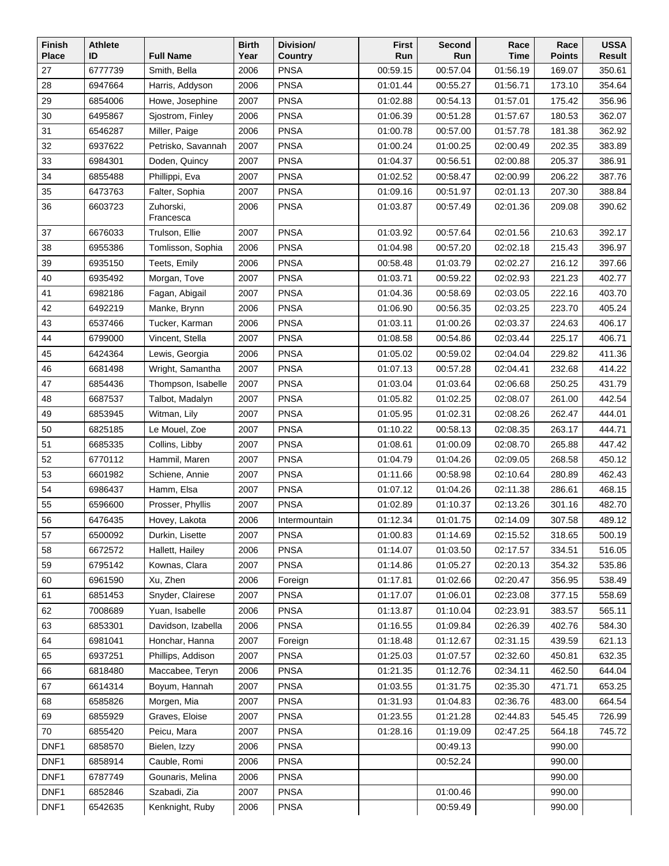| <b>Finish</b> | <b>Athlete</b> |                        | <b>Birth</b> | Division/      | <b>First</b> | Second   | Race     | Race          | <b>USSA</b> |
|---------------|----------------|------------------------|--------------|----------------|--------------|----------|----------|---------------|-------------|
| <b>Place</b>  | ID             | <b>Full Name</b>       | Year         | <b>Country</b> | Run          | Run      | Time     | <b>Points</b> | Result      |
| 27            | 6777739        | Smith, Bella           | 2006         | <b>PNSA</b>    | 00:59.15     | 00:57.04 | 01:56.19 | 169.07        | 350.61      |
| 28            | 6947664        | Harris, Addyson        | 2006         | <b>PNSA</b>    | 01:01.44     | 00:55.27 | 01:56.71 | 173.10        | 354.64      |
| 29            | 6854006        | Howe, Josephine        | 2007         | <b>PNSA</b>    | 01:02.88     | 00:54.13 | 01:57.01 | 175.42        | 356.96      |
| 30            | 6495867        | Sjostrom, Finley       | 2006         | <b>PNSA</b>    | 01:06.39     | 00:51.28 | 01:57.67 | 180.53        | 362.07      |
| 31            | 6546287        | Miller, Paige          | 2006         | <b>PNSA</b>    | 01:00.78     | 00:57.00 | 01:57.78 | 181.38        | 362.92      |
| 32            | 6937622        | Petrisko, Savannah     | 2007         | <b>PNSA</b>    | 01:00.24     | 01:00.25 | 02:00.49 | 202.35        | 383.89      |
| 33            | 6984301        | Doden, Quincy          | 2007         | <b>PNSA</b>    | 01:04.37     | 00:56.51 | 02:00.88 | 205.37        | 386.91      |
| 34            | 6855488        | Phillippi, Eva         | 2007         | <b>PNSA</b>    | 01:02.52     | 00:58.47 | 02:00.99 | 206.22        | 387.76      |
| 35            | 6473763        | Falter, Sophia         | 2007         | <b>PNSA</b>    | 01:09.16     | 00:51.97 | 02:01.13 | 207.30        | 388.84      |
| 36            | 6603723        | Zuhorski,<br>Francesca | 2006         | <b>PNSA</b>    | 01:03.87     | 00:57.49 | 02:01.36 | 209.08        | 390.62      |
| 37            | 6676033        | Trulson, Ellie         | 2007         | <b>PNSA</b>    | 01:03.92     | 00:57.64 | 02:01.56 | 210.63        | 392.17      |
| 38            | 6955386        | Tomlisson, Sophia      | 2006         | <b>PNSA</b>    | 01:04.98     | 00:57.20 | 02:02.18 | 215.43        | 396.97      |
| 39            | 6935150        | Teets, Emily           | 2006         | <b>PNSA</b>    | 00:58.48     | 01:03.79 | 02:02.27 | 216.12        | 397.66      |
| 40            | 6935492        | Morgan, Tove           | 2007         | <b>PNSA</b>    | 01:03.71     | 00:59.22 | 02:02.93 | 221.23        | 402.77      |
| 41            | 6982186        | Fagan, Abigail         | 2007         | <b>PNSA</b>    | 01:04.36     | 00:58.69 | 02:03.05 | 222.16        | 403.70      |
| 42            | 6492219        | Manke, Brynn           | 2006         | <b>PNSA</b>    | 01:06.90     | 00:56.35 | 02:03.25 | 223.70        | 405.24      |
| 43            | 6537466        | Tucker, Karman         | 2006         | <b>PNSA</b>    | 01:03.11     | 01:00.26 | 02:03.37 | 224.63        | 406.17      |
| 44            | 6799000        | Vincent, Stella        | 2007         | <b>PNSA</b>    | 01:08.58     | 00:54.86 | 02:03.44 | 225.17        | 406.71      |
| 45            | 6424364        | Lewis, Georgia         | 2006         | <b>PNSA</b>    | 01:05.02     | 00:59.02 | 02:04.04 | 229.82        | 411.36      |
| 46            | 6681498        | Wright, Samantha       | 2007         | <b>PNSA</b>    | 01:07.13     | 00:57.28 | 02:04.41 | 232.68        | 414.22      |
| 47            | 6854436        | Thompson, Isabelle     | 2007         | <b>PNSA</b>    | 01:03.04     | 01:03.64 | 02:06.68 | 250.25        | 431.79      |
| 48            | 6687537        | Talbot, Madalyn        | 2007         | PNSA           | 01:05.82     | 01:02.25 | 02:08.07 | 261.00        | 442.54      |
| 49            | 6853945        | Witman, Lily           | 2007         | <b>PNSA</b>    | 01:05.95     | 01:02.31 | 02:08.26 | 262.47        | 444.01      |
| 50            | 6825185        | Le Mouel, Zoe          | 2007         | <b>PNSA</b>    | 01:10.22     | 00:58.13 | 02:08.35 | 263.17        | 444.71      |
| 51            | 6685335        | Collins, Libby         | 2007         | <b>PNSA</b>    | 01:08.61     | 01:00.09 | 02:08.70 | 265.88        | 447.42      |
| 52            | 6770112        | Hammil, Maren          | 2007         | <b>PNSA</b>    | 01:04.79     | 01:04.26 | 02:09.05 | 268.58        | 450.12      |
| 53            | 6601982        | Schiene, Annie         | 2007         | <b>PNSA</b>    | 01:11.66     | 00:58.98 | 02:10.64 | 280.89        | 462.43      |
| 54            | 6986437        | Hamm, Elsa             | 2007         | <b>PNSA</b>    | 01:07.12     | 01:04.26 | 02:11.38 | 286.61        | 468.15      |
| 55            | 6596600        | Prosser, Phyllis       | 2007         | <b>PNSA</b>    | 01:02.89     | 01:10.37 | 02:13.26 | 301.16        | 482.70      |
| 56            | 6476435        | Hovey, Lakota          | 2006         | Intermountain  | 01:12.34     | 01:01.75 | 02:14.09 | 307.58        | 489.12      |
| 57            | 6500092        | Durkin, Lisette        | 2007         | <b>PNSA</b>    | 01:00.83     | 01:14.69 | 02:15.52 | 318.65        | 500.19      |
| 58            | 6672572        | Hallett, Hailey        | 2006         | <b>PNSA</b>    | 01:14.07     | 01:03.50 | 02:17.57 | 334.51        | 516.05      |
| 59            | 6795142        | Kownas, Clara          | 2007         | <b>PNSA</b>    | 01:14.86     | 01:05.27 | 02:20.13 | 354.32        | 535.86      |
| 60            | 6961590        | Xu, Zhen               | 2006         | Foreign        | 01:17.81     | 01:02.66 | 02:20.47 | 356.95        | 538.49      |
| 61            | 6851453        | Snyder, Clairese       | 2007         | <b>PNSA</b>    | 01:17.07     | 01:06.01 | 02:23.08 | 377.15        | 558.69      |
| 62            | 7008689        | Yuan, Isabelle         | 2006         | <b>PNSA</b>    | 01:13.87     | 01:10.04 | 02:23.91 | 383.57        | 565.11      |
| 63            | 6853301        | Davidson, Izabella     | 2006         | <b>PNSA</b>    | 01:16.55     | 01:09.84 | 02:26.39 | 402.76        | 584.30      |
| 64            | 6981041        | Honchar, Hanna         | 2007         | Foreign        | 01:18.48     | 01:12.67 | 02:31.15 | 439.59        | 621.13      |
| 65            | 6937251        | Phillips, Addison      | 2007         | <b>PNSA</b>    | 01:25.03     | 01:07.57 | 02:32.60 | 450.81        | 632.35      |
| 66            | 6818480        | Maccabee, Teryn        | 2006         | <b>PNSA</b>    | 01:21.35     | 01:12.76 | 02:34.11 | 462.50        | 644.04      |
| 67            | 6614314        | Boyum, Hannah          | 2007         | <b>PNSA</b>    | 01:03.55     | 01:31.75 | 02:35.30 | 471.71        | 653.25      |
| 68            | 6585826        | Morgen, Mia            | 2007         | <b>PNSA</b>    | 01:31.93     | 01:04.83 | 02:36.76 | 483.00        | 664.54      |
| 69            | 6855929        | Graves, Eloise         | 2007         | <b>PNSA</b>    | 01:23.55     | 01:21.28 | 02:44.83 | 545.45        | 726.99      |
| 70            | 6855420        | Peicu, Mara            | 2007         | <b>PNSA</b>    | 01:28.16     | 01:19.09 | 02:47.25 | 564.18        | 745.72      |
| DNF1          | 6858570        | Bielen, Izzy           | 2006         | <b>PNSA</b>    |              | 00:49.13 |          | 990.00        |             |
| DNF1          | 6858914        | Cauble, Romi           | 2006         | <b>PNSA</b>    |              | 00:52.24 |          | 990.00        |             |
| DNF1          | 6787749        | Gounaris, Melina       | 2006         | <b>PNSA</b>    |              |          |          | 990.00        |             |
| DNF1          | 6852846        | Szabadi, Zia           | 2007         | <b>PNSA</b>    |              | 01:00.46 |          | 990.00        |             |
| DNF1          | 6542635        | Kenknight, Ruby        | 2006         | PNSA           |              | 00:59.49 |          | 990.00        |             |
|               |                |                        |              |                |              |          |          |               |             |